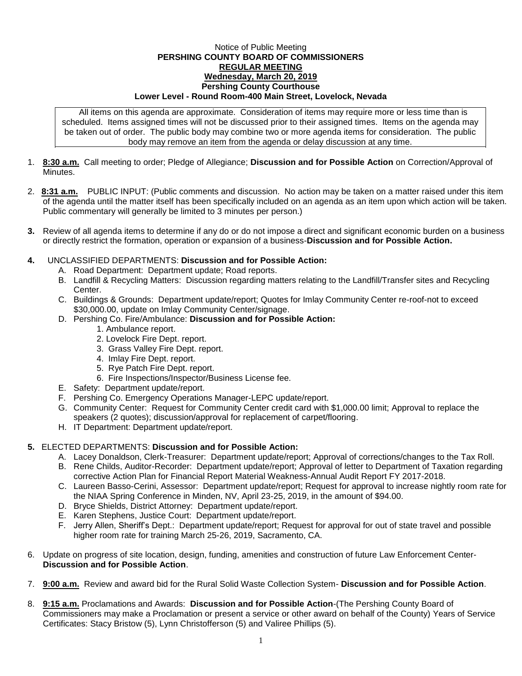## Notice of Public Meeting **PERSHING COUNTY BOARD OF COMMISSIONERS REGULAR MEETING Wednesday, March 20, 2019 Pershing County Courthouse Lower Level - Round Room-400 Main Street, Lovelock, Nevada**

All items on this agenda are approximate. Consideration of items may require more or less time than is scheduled. Items assigned times will not be discussed prior to their assigned times. Items on the agenda may be taken out of order. The public body may combine two or more agenda items for consideration. The public body may remove an item from the agenda or delay discussion at any time.

- 1. **8:30 a.m.** Call meeting to order; Pledge of Allegiance; **Discussion and for Possible Action** on Correction/Approval of **Minutes**
- 2. **8:31 a.m.** PUBLIC INPUT: (Public comments and discussion. No action may be taken on a matter raised under this item of the agenda until the matter itself has been specifically included on an agenda as an item upon which action will be taken. Public commentary will generally be limited to 3 minutes per person.)
- **3.** Review of all agenda items to determine if any do or do not impose a direct and significant economic burden on a business or directly restrict the formation, operation or expansion of a business-**Discussion and for Possible Action.**
- **4.** UNCLASSIFIED DEPARTMENTS: **Discussion and for Possible Action:**
	- A. Road Department: Department update; Road reports.
	- B. Landfill & Recycling Matters: Discussion regarding matters relating to the Landfill/Transfer sites and Recycling Center.
	- C. Buildings & Grounds: Department update/report; Quotes for Imlay Community Center re-roof-not to exceed \$30,000.00, update on Imlay Community Center/signage.
	- D. Pershing Co. Fire/Ambulance: **Discussion and for Possible Action:**
		- 1. Ambulance report.
		- 2. Lovelock Fire Dept. report.
		- 3. Grass Valley Fire Dept. report.
		- 4. Imlay Fire Dept. report.
		- 5. Rye Patch Fire Dept. report.
		- 6. Fire Inspections/Inspector/Business License fee.
	- E. Safety: Department update/report.
	- F. Pershing Co. Emergency Operations Manager-LEPC update/report.
	- G. Community Center: Request for Community Center credit card with \$1,000.00 limit; Approval to replace the speakers (2 quotes); discussion/approval for replacement of carpet/flooring.
	- H. IT Department: Department update/report.

## **5.** ELECTED DEPARTMENTS: **Discussion and for Possible Action:**

- A. Lacey Donaldson, Clerk-Treasurer: Department update/report; Approval of corrections/changes to the Tax Roll.
- B. Rene Childs, Auditor-Recorder: Department update/report; Approval of letter to Department of Taxation regarding corrective Action Plan for Financial Report Material Weakness-Annual Audit Report FY 2017-2018.
- C. Laureen Basso-Cerini, Assessor: Department update/report; Request for approval to increase nightly room rate for the NIAA Spring Conference in Minden, NV, April 23-25, 2019, in the amount of \$94.00.
- D. Bryce Shields, District Attorney: Department update/report.
- E. Karen Stephens, Justice Court: Department update/report.
- F. Jerry Allen, Sheriff's Dept.: Department update/report; Request for approval for out of state travel and possible higher room rate for training March 25-26, 2019, Sacramento, CA.
- 6. Update on progress of site location, design, funding, amenities and construction of future Law Enforcement Center-**Discussion and for Possible Action**.
- 7. **9:00 a.m.** Review and award bid for the Rural Solid Waste Collection System- **Discussion and for Possible Action**.
- 8. **9:15 a.m.** Proclamations and Awards: **Discussion and for Possible Action**-(The Pershing County Board of Commissioners may make a Proclamation or present a service or other award on behalf of the County) Years of Service Certificates: Stacy Bristow (5), Lynn Christofferson (5) and Valiree Phillips (5).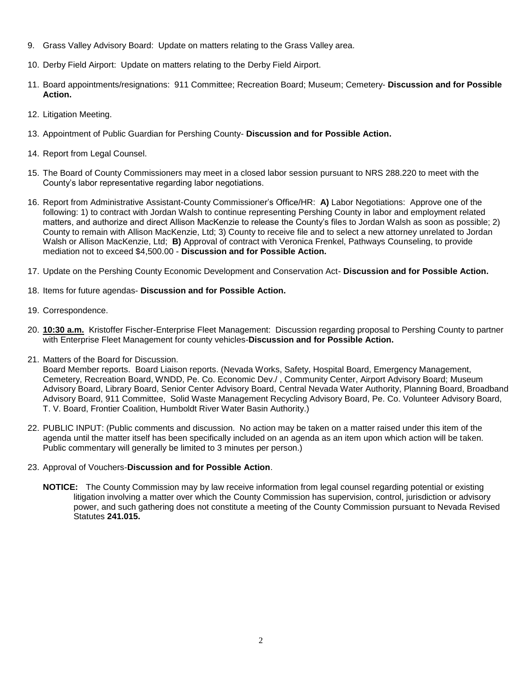- 9. Grass Valley Advisory Board: Update on matters relating to the Grass Valley area.
- 10. Derby Field Airport: Update on matters relating to the Derby Field Airport.
- 11. Board appointments/resignations: 911 Committee; Recreation Board; Museum; Cemetery- **Discussion and for Possible Action.**
- 12. Litigation Meeting.
- 13. Appointment of Public Guardian for Pershing County- **Discussion and for Possible Action.**
- 14. Report from Legal Counsel.
- 15. The Board of County Commissioners may meet in a closed labor session pursuant to NRS 288.220 to meet with the County's labor representative regarding labor negotiations.
- 16. Report from Administrative Assistant-County Commissioner's Office/HR: **A)** Labor Negotiations: Approve one of the following: 1) to contract with Jordan Walsh to continue representing Pershing County in labor and employment related matters, and authorize and direct Allison MacKenzie to release the County's files to Jordan Walsh as soon as possible; 2) County to remain with Allison MacKenzie, Ltd; 3) County to receive file and to select a new attorney unrelated to Jordan Walsh or Allison MacKenzie, Ltd; **B)** Approval of contract with Veronica Frenkel, Pathways Counseling, to provide mediation not to exceed \$4,500.00 - **Discussion and for Possible Action.**
- 17. Update on the Pershing County Economic Development and Conservation Act- **Discussion and for Possible Action.**
- 18. Items for future agendas- **Discussion and for Possible Action.**
- 19. Correspondence.
- 20. **10:30 a.m.** Kristoffer Fischer-Enterprise Fleet Management: Discussion regarding proposal to Pershing County to partner with Enterprise Fleet Management for county vehicles-**Discussion and for Possible Action.**
- 21. Matters of the Board for Discussion.

Board Member reports. Board Liaison reports. (Nevada Works, Safety, Hospital Board, Emergency Management, Cemetery, Recreation Board, WNDD, Pe. Co. Economic Dev./ , Community Center, Airport Advisory Board; Museum Advisory Board, Library Board, Senior Center Advisory Board, Central Nevada Water Authority, Planning Board, Broadband Advisory Board, 911 Committee, Solid Waste Management Recycling Advisory Board, Pe. Co. Volunteer Advisory Board, T. V. Board, Frontier Coalition, Humboldt River Water Basin Authority.)

- 22. PUBLIC INPUT: (Public comments and discussion. No action may be taken on a matter raised under this item of the agenda until the matter itself has been specifically included on an agenda as an item upon which action will be taken. Public commentary will generally be limited to 3 minutes per person.)
- 23. Approval of Vouchers-**Discussion and for Possible Action**.
	- **NOTICE:** The County Commission may by law receive information from legal counsel regarding potential or existing litigation involving a matter over which the County Commission has supervision, control, jurisdiction or advisory power, and such gathering does not constitute a meeting of the County Commission pursuant to Nevada Revised Statutes **241.015.**